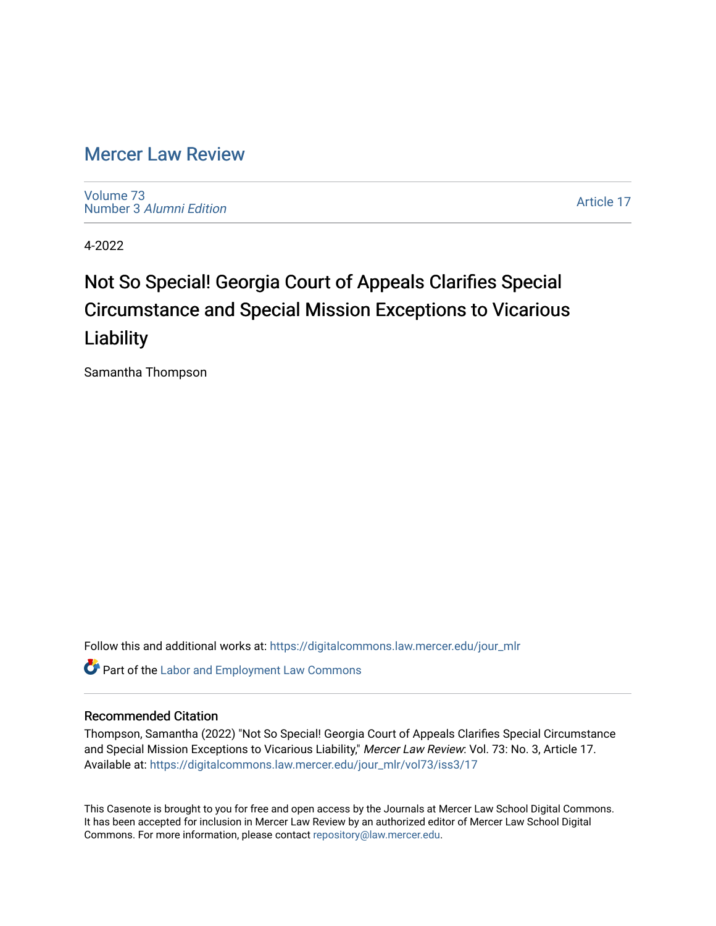## [Mercer Law Review](https://digitalcommons.law.mercer.edu/jour_mlr)

[Volume 73](https://digitalcommons.law.mercer.edu/jour_mlr/vol73) Number 3 [Alumni Edition](https://digitalcommons.law.mercer.edu/jour_mlr/vol73/iss3) 

[Article 17](https://digitalcommons.law.mercer.edu/jour_mlr/vol73/iss3/17) 

4-2022

# Not So Special! Georgia Court of Appeals Clarifies Special Circumstance and Special Mission Exceptions to Vicarious **Liability**

Samantha Thompson

Follow this and additional works at: [https://digitalcommons.law.mercer.edu/jour\\_mlr](https://digitalcommons.law.mercer.edu/jour_mlr?utm_source=digitalcommons.law.mercer.edu%2Fjour_mlr%2Fvol73%2Fiss3%2F17&utm_medium=PDF&utm_campaign=PDFCoverPages)

**C** Part of the [Labor and Employment Law Commons](http://network.bepress.com/hgg/discipline/909?utm_source=digitalcommons.law.mercer.edu%2Fjour_mlr%2Fvol73%2Fiss3%2F17&utm_medium=PDF&utm_campaign=PDFCoverPages)

### Recommended Citation

Thompson, Samantha (2022) "Not So Special! Georgia Court of Appeals Clarifies Special Circumstance and Special Mission Exceptions to Vicarious Liability," Mercer Law Review: Vol. 73: No. 3, Article 17. Available at: [https://digitalcommons.law.mercer.edu/jour\\_mlr/vol73/iss3/17](https://digitalcommons.law.mercer.edu/jour_mlr/vol73/iss3/17?utm_source=digitalcommons.law.mercer.edu%2Fjour_mlr%2Fvol73%2Fiss3%2F17&utm_medium=PDF&utm_campaign=PDFCoverPages) 

This Casenote is brought to you for free and open access by the Journals at Mercer Law School Digital Commons. It has been accepted for inclusion in Mercer Law Review by an authorized editor of Mercer Law School Digital Commons. For more information, please contact [repository@law.mercer.edu.](mailto:repository@law.mercer.edu)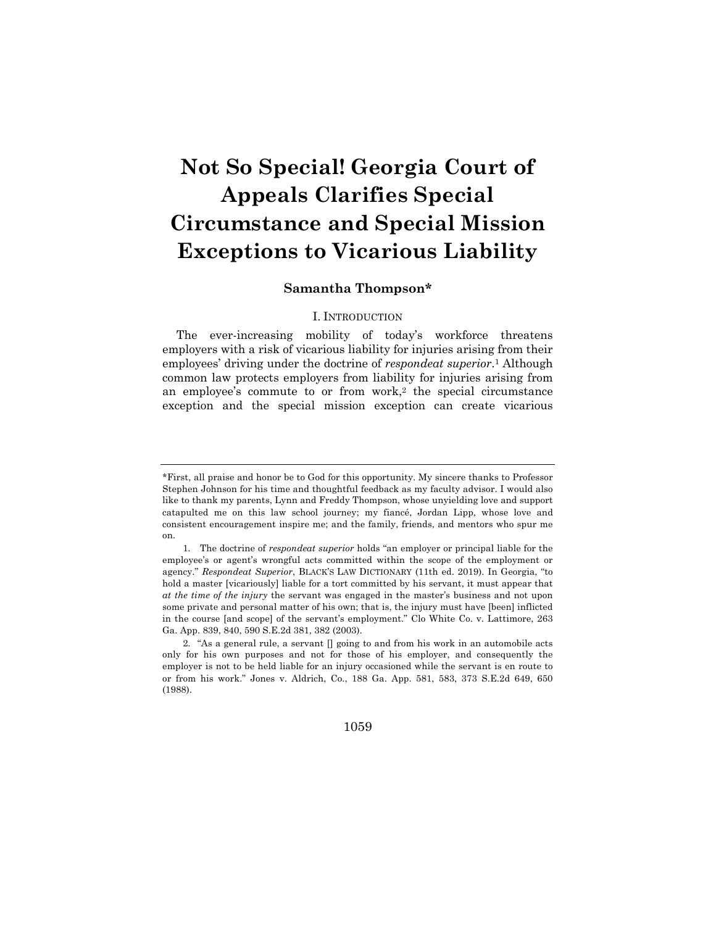# **Not So Special! Georgia Court of Appeals Clarifies Special Circumstance and Special Mission Exceptions to Vicarious Liability**

### **Samantha Thompson\***

#### I. INTRODUCTION

The ever-increasing mobility of today's workforce threatens employers with a risk of vicarious liability for injuries arising from their employees' driving under the doctrine of *respondeat superior*.1 Although common law protects employers from liability for injuries arising from an employee's commute to or from work,2 the special circumstance exception and the special mission exception can create vicarious

1059

<sup>\*</sup>First, all praise and honor be to God for this opportunity. My sincere thanks to Professor Stephen Johnson for his time and thoughtful feedback as my faculty advisor. I would also like to thank my parents, Lynn and Freddy Thompson, whose unyielding love and support catapulted me on this law school journey; my fiancé, Jordan Lipp, whose love and consistent encouragement inspire me; and the family, friends, and mentors who spur me on.

<sup>1.</sup> The doctrine of *respondeat superior* holds "an employer or principal liable for the employee's or agent's wrongful acts committed within the scope of the employment or agency." *Respondeat Superior*, BLACK'S LAW DICTIONARY (11th ed. 2019). In Georgia, "to hold a master [vicariously] liable for a tort committed by his servant, it must appear that *at the time of the injury* the servant was engaged in the master's business and not upon some private and personal matter of his own; that is, the injury must have [been] inflicted in the course [and scope] of the servant's employment." Clo White Co. v. Lattimore, 263 Ga. App. 839, 840, 590 S.E.2d 381, 382 (2003).

<sup>2.</sup> "As a general rule, a servant [] going to and from his work in an automobile acts only for his own purposes and not for those of his employer, and consequently the employer is not to be held liable for an injury occasioned while the servant is en route to or from his work." Jones v. Aldrich, Co., 188 Ga. App. 581, 583, 373 S.E.2d 649, 650 (1988).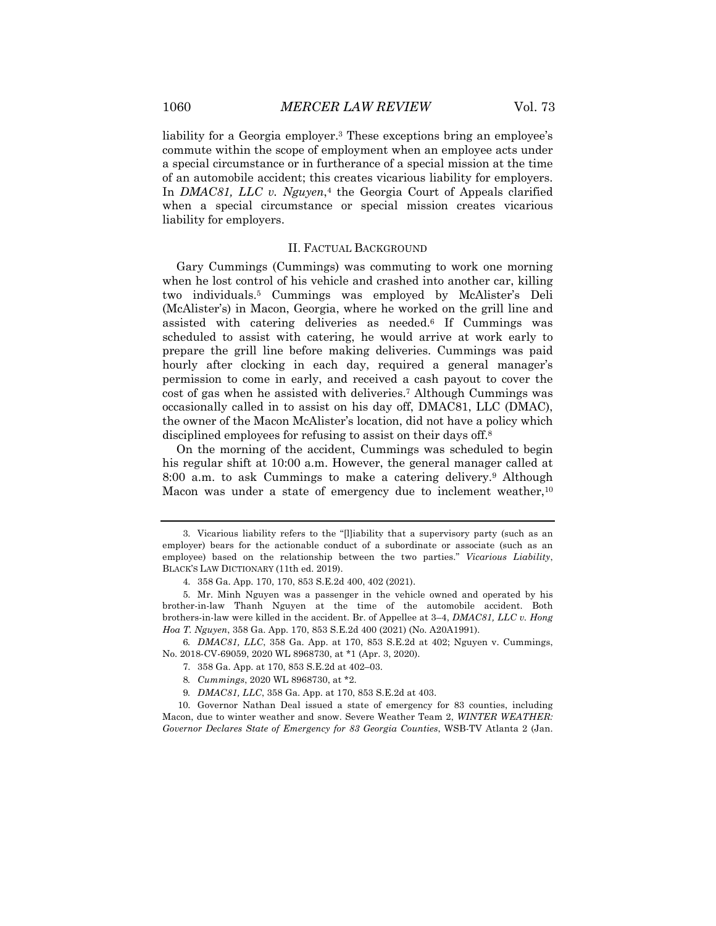liability for a Georgia employer.3 These exceptions bring an employee's commute within the scope of employment when an employee acts under a special circumstance or in furtherance of a special mission at the time of an automobile accident; this creates vicarious liability for employers. In *DMAC81, LLC v. Nguyen*,<sup>4</sup> the Georgia Court of Appeals clarified when a special circumstance or special mission creates vicarious liability for employers.

#### II. FACTUAL BACKGROUND

Gary Cummings (Cummings) was commuting to work one morning when he lost control of his vehicle and crashed into another car, killing two individuals.5 Cummings was employed by McAlister's Deli (McAlister's) in Macon, Georgia, where he worked on the grill line and assisted with catering deliveries as needed.6 If Cummings was scheduled to assist with catering, he would arrive at work early to prepare the grill line before making deliveries. Cummings was paid hourly after clocking in each day, required a general manager's permission to come in early, and received a cash payout to cover the cost of gas when he assisted with deliveries.7 Although Cummings was occasionally called in to assist on his day off, DMAC81, LLC (DMAC), the owner of the Macon McAlister's location, did not have a policy which disciplined employees for refusing to assist on their days off.8

On the morning of the accident, Cummings was scheduled to begin his regular shift at 10:00 a.m. However, the general manager called at 8:00 a.m. to ask Cummings to make a catering delivery.9 Although Macon was under a state of emergency due to inclement weather,  $10$ 

6*. DMAC81, LLC*, 358 Ga. App. at 170, 853 S.E.2d at 402; Nguyen v. Cummings, No. 2018-CV-69059, 2020 WL 8968730, at \*1 (Apr. 3, 2020).

10. Governor Nathan Deal issued a state of emergency for 83 counties, including Macon, due to winter weather and snow. Severe Weather Team 2, *WINTER WEATHER: Governor Declares State of Emergency for 83 Georgia Counties*, WSB-TV Atlanta 2 (Jan.

<sup>3.</sup> Vicarious liability refers to the "[l]iability that a supervisory party (such as an employer) bears for the actionable conduct of a subordinate or associate (such as an employee) based on the relationship between the two parties." *Vicarious Liability*, BLACK'S LAW DICTIONARY (11th ed. 2019).

<sup>4.</sup> 358 Ga. App. 170, 170, 853 S.E.2d 400, 402 (2021).

<sup>5.</sup> Mr. Minh Nguyen was a passenger in the vehicle owned and operated by his brother-in-law Thanh Nguyen at the time of the automobile accident. Both brothers-in-law were killed in the accident. Br. of Appellee at 3–4, *DMAC81, LLC v. Hong Hoa T. Nguyen*, 358 Ga. App. 170, 853 S.E.2d 400 (2021) (No. A20A1991).

<sup>7.</sup> 358 Ga. App. at 170, 853 S.E.2d at 402–03.

<sup>8</sup>*. Cummings*, 2020 WL 8968730, at \*2.

<sup>9</sup>*. DMAC81, LLC*, 358 Ga. App. at 170, 853 S.E.2d at 403.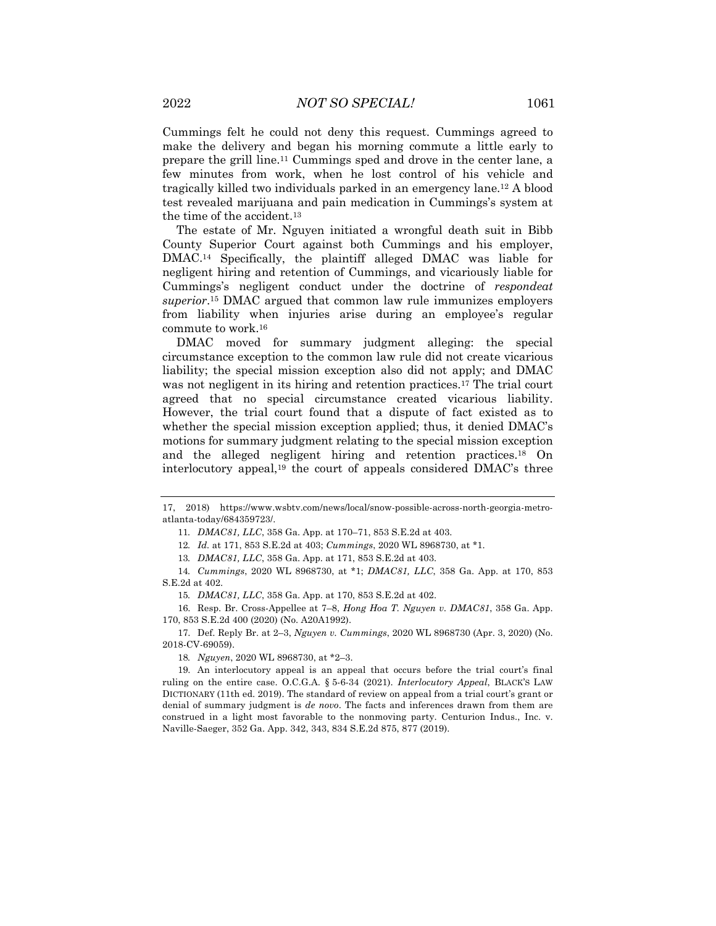Cummings felt he could not deny this request. Cummings agreed to make the delivery and began his morning commute a little early to prepare the grill line.11 Cummings sped and drove in the center lane, a few minutes from work, when he lost control of his vehicle and tragically killed two individuals parked in an emergency lane.12 A blood test revealed marijuana and pain medication in Cummings's system at the time of the accident.13

The estate of Mr. Nguyen initiated a wrongful death suit in Bibb County Superior Court against both Cummings and his employer, DMAC.14 Specifically, the plaintiff alleged DMAC was liable for negligent hiring and retention of Cummings, and vicariously liable for Cummings's negligent conduct under the doctrine of *respondeat superior*.15 DMAC argued that common law rule immunizes employers from liability when injuries arise during an employee's regular commute to work.16

DMAC moved for summary judgment alleging: the special circumstance exception to the common law rule did not create vicarious liability; the special mission exception also did not apply; and DMAC was not negligent in its hiring and retention practices.<sup>17</sup> The trial court agreed that no special circumstance created vicarious liability. However, the trial court found that a dispute of fact existed as to whether the special mission exception applied; thus, it denied DMAC's motions for summary judgment relating to the special mission exception and the alleged negligent hiring and retention practices.18 On interlocutory appeal,19 the court of appeals considered DMAC's three

13*. DMAC81, LLC*, 358 Ga. App. at 171, 853 S.E.2d at 403.

14*. Cummings*, 2020 WL 8968730, at \*1; *DMAC81, LLC*, 358 Ga. App. at 170, 853 S.E.2d at 402.

15*. DMAC81, LLC*, 358 Ga. App. at 170, 853 S.E.2d at 402.

16. Resp. Br. Cross-Appellee at 7–8, *Hong Hoa T. Nguyen v. DMAC81*, 358 Ga. App. 170, 853 S.E.2d 400 (2020) (No. A20A1992).

17. Def. Reply Br. at 2–3, *Nguyen v. Cummings*, 2020 WL 8968730 (Apr. 3, 2020) (No. 2018-CV-69059).

18*. Nguyen*, 2020 WL 8968730, at \*2–3.

19. An interlocutory appeal is an appeal that occurs before the trial court's final ruling on the entire case. O.C.G.A. § 5-6-34 (2021). *Interlocutory Appeal*, BLACK'S LAW DICTIONARY (11th ed. 2019). The standard of review on appeal from a trial court's grant or denial of summary judgment is *de novo*. The facts and inferences drawn from them are construed in a light most favorable to the nonmoving party. Centurion Indus., Inc. v. Naville-Saeger, 352 Ga. App. 342, 343, 834 S.E.2d 875, 877 (2019).

<sup>17, 2018)</sup> https://www.wsbtv.com/news/local/snow-possible-across-north-georgia-metroatlanta-today/684359723/.

<sup>11</sup>*. DMAC81, LLC*, 358 Ga. App. at 170–71, 853 S.E.2d at 403.

<sup>12</sup>*. Id.* at 171, 853 S.E.2d at 403; *Cummings*, 2020 WL 8968730, at \*1.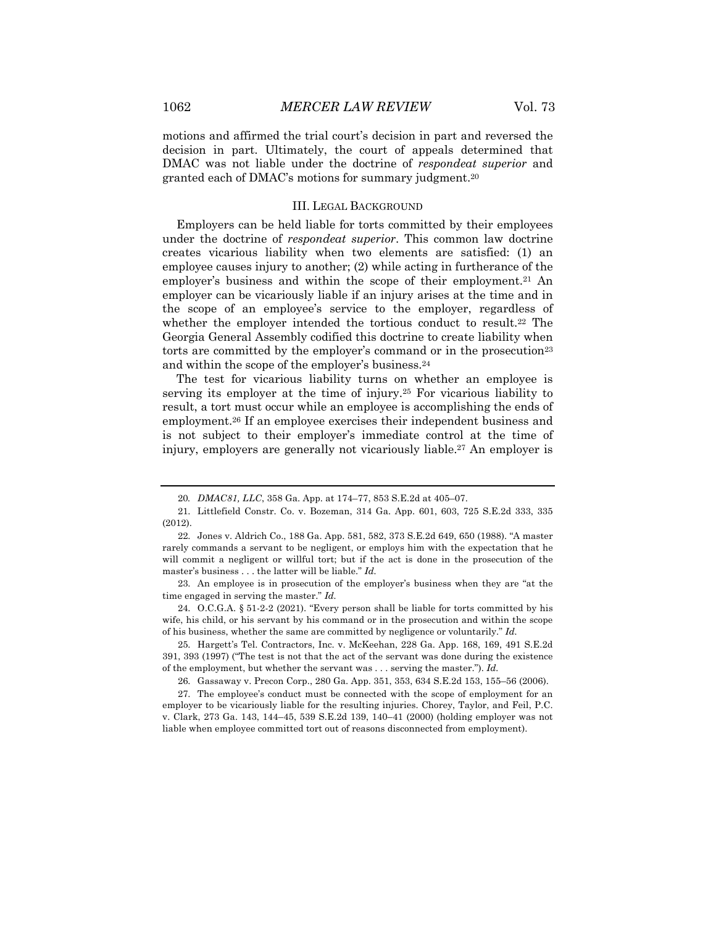motions and affirmed the trial court's decision in part and reversed the decision in part. Ultimately, the court of appeals determined that DMAC was not liable under the doctrine of *respondeat superior* and granted each of DMAC's motions for summary judgment.20

#### III. LEGAL BACKGROUND

Employers can be held liable for torts committed by their employees under the doctrine of *respondeat superior*. This common law doctrine creates vicarious liability when two elements are satisfied: (1) an employee causes injury to another; (2) while acting in furtherance of the employer's business and within the scope of their employment.<sup>21</sup> An employer can be vicariously liable if an injury arises at the time and in the scope of an employee's service to the employer, regardless of whether the employer intended the tortious conduct to result.<sup>22</sup> The Georgia General Assembly codified this doctrine to create liability when torts are committed by the employer's command or in the prosecution<sup>23</sup> and within the scope of the employer's business.24

The test for vicarious liability turns on whether an employee is serving its employer at the time of injury.25 For vicarious liability to result, a tort must occur while an employee is accomplishing the ends of employment.26 If an employee exercises their independent business and is not subject to their employer's immediate control at the time of injury, employers are generally not vicariously liable.<sup>27</sup> An employer is

23. An employee is in prosecution of the employer's business when they are "at the time engaged in serving the master." *Id.*

24. O.C.G.A. § 51-2-2 (2021). "Every person shall be liable for torts committed by his wife, his child, or his servant by his command or in the prosecution and within the scope of his business, whether the same are committed by negligence or voluntarily." *Id.*

25. Hargett's Tel. Contractors, Inc. v. McKeehan, 228 Ga. App. 168, 169, 491 S.E.2d 391, 393 (1997) ("The test is not that the act of the servant was done during the existence of the employment, but whether the servant was . . . serving the master."). *Id.*

26. Gassaway v. Precon Corp., 280 Ga. App. 351, 353, 634 S.E.2d 153, 155–56 (2006).

27. The employee's conduct must be connected with the scope of employment for an employer to be vicariously liable for the resulting injuries. Chorey, Taylor, and Feil, P.C. v. Clark, 273 Ga. 143, 144–45, 539 S.E.2d 139, 140–41 (2000) (holding employer was not liable when employee committed tort out of reasons disconnected from employment).

<sup>20</sup>*. DMAC81, LLC*, 358 Ga. App. at 174–77, 853 S.E.2d at 405–07.

<sup>21.</sup> Littlefield Constr. Co. v. Bozeman, 314 Ga. App. 601, 603, 725 S.E.2d 333, 335 (2012).

<sup>22.</sup> Jones v. Aldrich Co., 188 Ga. App. 581, 582, 373 S.E.2d 649, 650 (1988). "A master rarely commands a servant to be negligent, or employs him with the expectation that he will commit a negligent or willful tort; but if the act is done in the prosecution of the master's business . . . the latter will be liable." *Id.*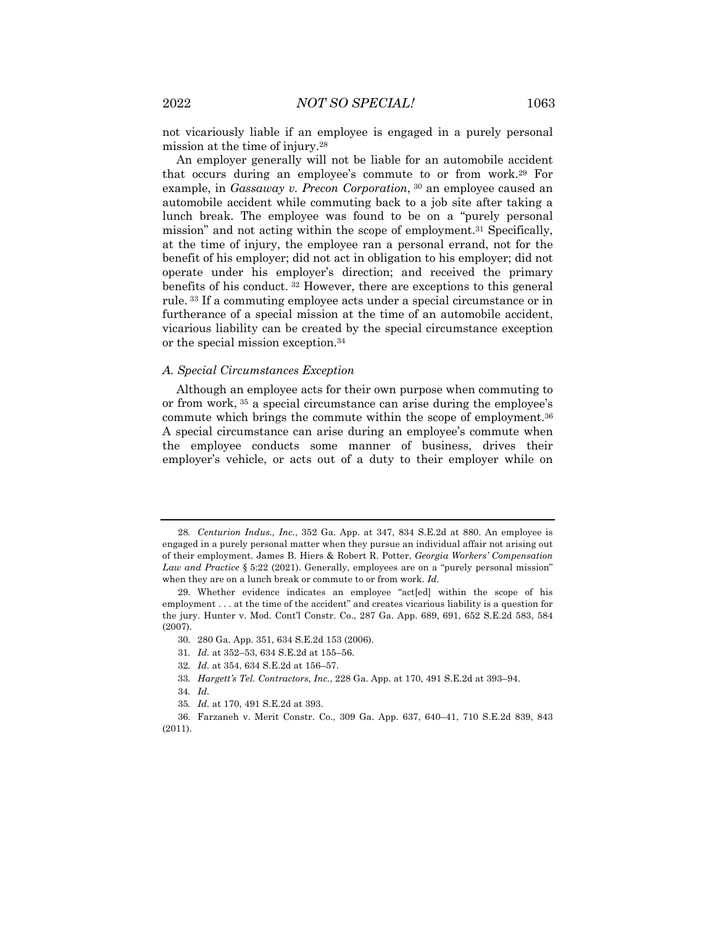not vicariously liable if an employee is engaged in a purely personal mission at the time of injury.28

An employer generally will not be liable for an automobile accident that occurs during an employee's commute to or from work.29 For example, in *Gassaway v. Precon Corporation*, <sup>30</sup> an employee caused an automobile accident while commuting back to a job site after taking a lunch break. The employee was found to be on a "purely personal mission" and not acting within the scope of employment.31 Specifically, at the time of injury, the employee ran a personal errand, not for the benefit of his employer; did not act in obligation to his employer; did not operate under his employer's direction; and received the primary benefits of his conduct. <sup>32</sup> However, there are exceptions to this general rule. <sup>33</sup> If a commuting employee acts under a special circumstance or in furtherance of a special mission at the time of an automobile accident, vicarious liability can be created by the special circumstance exception or the special mission exception.34

#### *A. Special Circumstances Exception*

Although an employee acts for their own purpose when commuting to or from work, <sup>35</sup> a special circumstance can arise during the employee's commute which brings the commute within the scope of employment.36 A special circumstance can arise during an employee's commute when the employee conducts some manner of business, drives their employer's vehicle, or acts out of a duty to their employer while on

33*. Hargett's Tel. Contractors, Inc.*, 228 Ga. App. at 170, 491 S.E.2d at 393–94.

35*. Id.* at 170, 491 S.E.2d at 393.

<sup>28</sup>*. Centurion Indus., Inc.*, 352 Ga. App. at 347, 834 S.E.2d at 880. An employee is engaged in a purely personal matter when they pursue an individual affair not arising out of their employment. James B. Hiers & Robert R. Potter, *Georgia Workers' Compensation Law and Practice* § 5:22 (2021). Generally, employees are on a "purely personal mission" when they are on a lunch break or commute to or from work. *Id.*

<sup>29.</sup> Whether evidence indicates an employee "act[ed] within the scope of his employment . . . at the time of the accident" and creates vicarious liability is a question for the jury. Hunter v. Mod. Cont'l Constr. Co., 287 Ga. App. 689, 691, 652 S.E.2d 583, 584 (2007).

<sup>30.</sup> 280 Ga. App. 351, 634 S.E.2d 153 (2006).

<sup>31</sup>*. Id.* at 352–53, 634 S.E.2d at 155–56.

<sup>32</sup>*. Id.* at 354, 634 S.E.2d at 156–57.

<sup>34</sup>*. Id.*

<sup>36.</sup> Farzaneh v. Merit Constr. Co., 309 Ga. App. 637, 640–41, 710 S.E.2d 839, 843 (2011).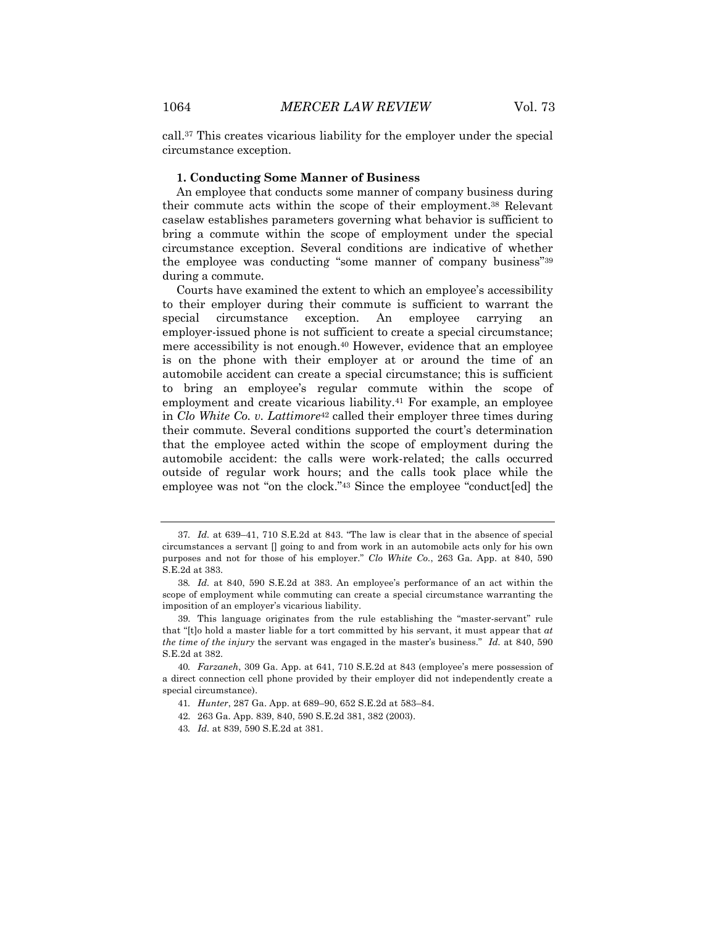call.37 This creates vicarious liability for the employer under the special circumstance exception.

#### **1. Conducting Some Manner of Business**

An employee that conducts some manner of company business during their commute acts within the scope of their employment.38 Relevant caselaw establishes parameters governing what behavior is sufficient to bring a commute within the scope of employment under the special circumstance exception. Several conditions are indicative of whether the employee was conducting "some manner of company business"39 during a commute.

Courts have examined the extent to which an employee's accessibility to their employer during their commute is sufficient to warrant the special circumstance exception. An employee carrying an employer-issued phone is not sufficient to create a special circumstance; mere accessibility is not enough.40 However, evidence that an employee is on the phone with their employer at or around the time of an automobile accident can create a special circumstance; this is sufficient to bring an employee's regular commute within the scope of employment and create vicarious liability.<sup>41</sup> For example, an employee in *Clo White Co. v. Lattimore*<sup>42</sup> called their employer three times during their commute. Several conditions supported the court's determination that the employee acted within the scope of employment during the automobile accident: the calls were work-related; the calls occurred outside of regular work hours; and the calls took place while the employee was not "on the clock."43 Since the employee "conduct[ed] the

<sup>37</sup>*. Id.* at 639–41, 710 S.E.2d at 843. "The law is clear that in the absence of special circumstances a servant [] going to and from work in an automobile acts only for his own purposes and not for those of his employer." *Clo White Co.*, 263 Ga. App. at 840, 590 S.E.2d at 383.

<sup>38</sup>*. Id.* at 840, 590 S.E.2d at 383. An employee's performance of an act within the scope of employment while commuting can create a special circumstance warranting the imposition of an employer's vicarious liability.

<sup>39.</sup> This language originates from the rule establishing the "master-servant" rule that "[t]o hold a master liable for a tort committed by his servant, it must appear that *at the time of the injury* the servant was engaged in the master's business." *Id.* at 840, 590 S.E.2d at 382.

<sup>40</sup>*. Farzaneh*, 309 Ga. App. at 641, 710 S.E.2d at 843 (employee's mere possession of a direct connection cell phone provided by their employer did not independently create a special circumstance).

<sup>41</sup>*. Hunter*, 287 Ga. App. at 689–90, 652 S.E.2d at 583–84.

<sup>42.</sup> 263 Ga. App. 839, 840, 590 S.E.2d 381, 382 (2003).

<sup>43</sup>*. Id.* at 839, 590 S.E.2d at 381.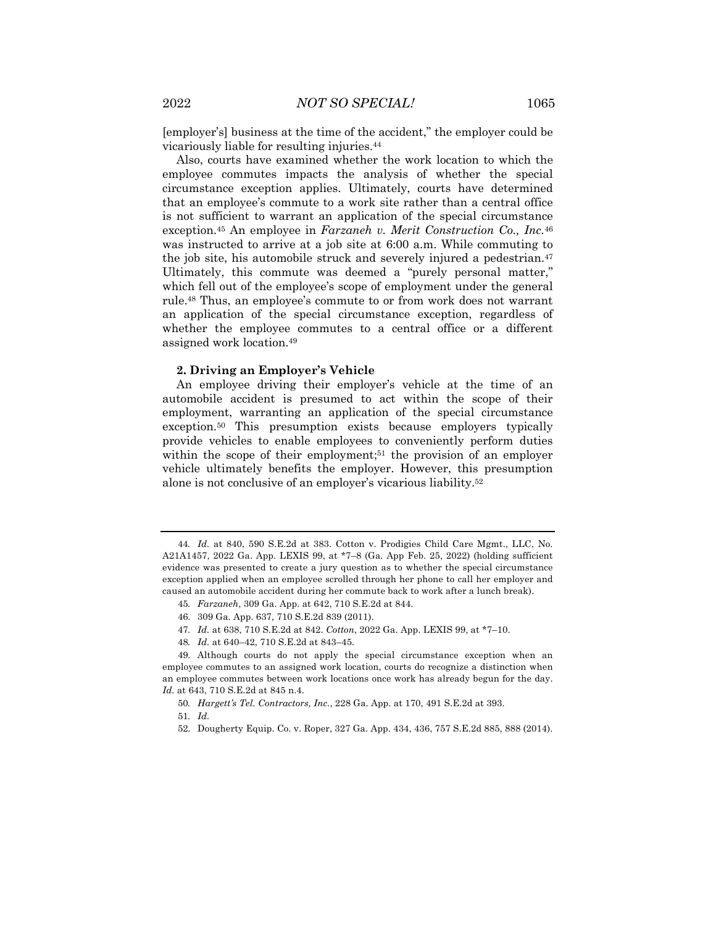[employer's] business at the time of the accident," the employer could be vicariously liable for resulting injuries.44

Also, courts have examined whether the work location to which the employee commutes impacts the analysis of whether the special circumstance exception applies. Ultimately, courts have determined that an employee's commute to a work site rather than a central office is not sufficient to warrant an application of the special circumstance exception.45 An employee in *Farzaneh v. Merit Construction Co., Inc.*<sup>46</sup> was instructed to arrive at a job site at 6:00 a.m. While commuting to the job site, his automobile struck and severely injured a pedestrian.47 Ultimately, this commute was deemed a "purely personal matter," which fell out of the employee's scope of employment under the general rule.48 Thus, an employee's commute to or from work does not warrant an application of the special circumstance exception, regardless of whether the employee commutes to a central office or a different assigned work location.49

#### **2. Driving an Employer's Vehicle**

An employee driving their employer's vehicle at the time of an automobile accident is presumed to act within the scope of their employment, warranting an application of the special circumstance exception.50 This presumption exists because employers typically provide vehicles to enable employees to conveniently perform duties within the scope of their employment;<sup>51</sup> the provision of an employer vehicle ultimately benefits the employer. However, this presumption alone is not conclusive of an employer's vicarious liability.52

45*. Farzaneh*, 309 Ga. App. at 642, 710 S.E.2d at 844.

- 47*. Id.* at 638, 710 S.E.2d at 842. *Cotton*, 2022 Ga. App. LEXIS 99, at \*7–10.
- 48*. Id.* at 640–42, 710 S.E.2d at 843–45.

49. Although courts do not apply the special circumstance exception when an employee commutes to an assigned work location, courts do recognize a distinction when an employee commutes between work locations once work has already begun for the day. *Id.* at 643, 710 S.E.2d at 845 n.4.

<sup>44</sup>*. Id.* at 840, 590 S.E.2d at 383. Cotton v. Prodigies Child Care Mgmt., LLC, No. A21A1457, 2022 Ga. App. LEXIS 99, at \*7–8 (Ga. App Feb. 25, 2022) (holding sufficient evidence was presented to create a jury question as to whether the special circumstance exception applied when an employee scrolled through her phone to call her employer and caused an automobile accident during her commute back to work after a lunch break).

<sup>46.</sup> 309 Ga. App. 637, 710 S.E.2d 839 (2011).

<sup>50</sup>*. Hargett's Tel. Contractors, Inc.*, 228 Ga. App. at 170, 491 S.E.2d at 393.

<sup>51</sup>*. Id.*

<sup>52.</sup> Dougherty Equip. Co. v. Roper, 327 Ga. App. 434, 436, 757 S.E.2d 885, 888 (2014).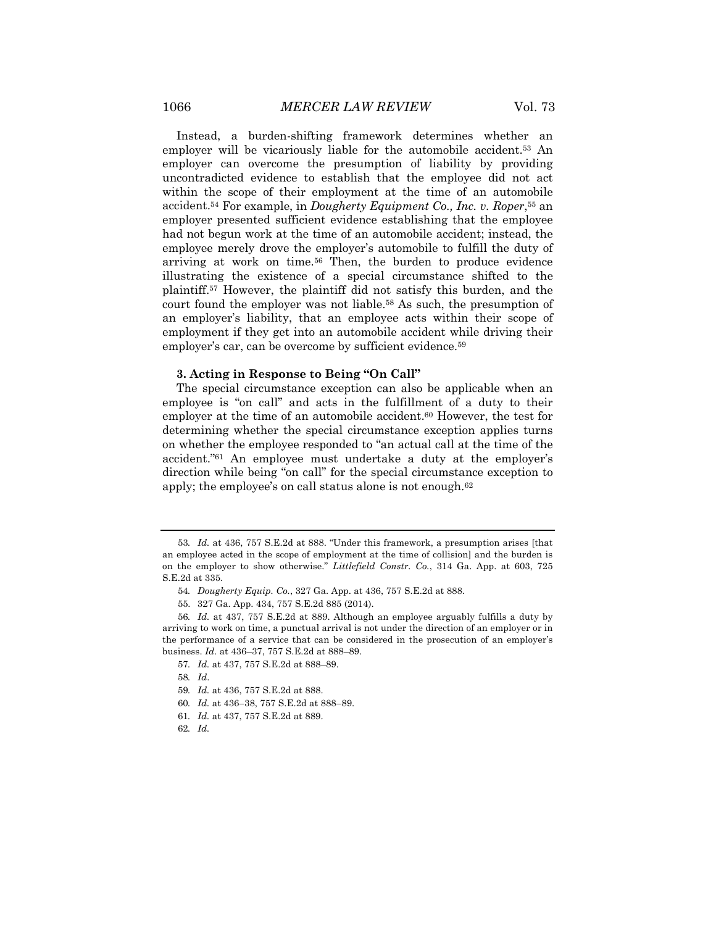Instead, a burden-shifting framework determines whether an employer will be vicariously liable for the automobile accident.<sup>53</sup> An employer can overcome the presumption of liability by providing uncontradicted evidence to establish that the employee did not act within the scope of their employment at the time of an automobile accident.54 For example, in *Dougherty Equipment Co., Inc. v. Roper*,55 an employer presented sufficient evidence establishing that the employee had not begun work at the time of an automobile accident; instead, the employee merely drove the employer's automobile to fulfill the duty of arriving at work on time.56 Then, the burden to produce evidence illustrating the existence of a special circumstance shifted to the plaintiff.57 However, the plaintiff did not satisfy this burden, and the court found the employer was not liable.58 As such, the presumption of an employer's liability, that an employee acts within their scope of employment if they get into an automobile accident while driving their employer's car, can be overcome by sufficient evidence.<sup>59</sup>

#### **3. Acting in Response to Being "On Call"**

The special circumstance exception can also be applicable when an employee is "on call" and acts in the fulfillment of a duty to their employer at the time of an automobile accident.<sup>60</sup> However, the test for determining whether the special circumstance exception applies turns on whether the employee responded to "an actual call at the time of the accident."61 An employee must undertake a duty at the employer's direction while being "on call" for the special circumstance exception to apply; the employee's on call status alone is not enough.62

- 60*. Id.* at 436–38, 757 S.E.2d at 888–89.
- 61*. Id.* at 437, 757 S.E.2d at 889.
- 62*. Id.*

<sup>53</sup>*. Id.* at 436, 757 S.E.2d at 888. "Under this framework, a presumption arises [that an employee acted in the scope of employment at the time of collision] and the burden is on the employer to show otherwise." *Littlefield Constr. Co.*, 314 Ga. App. at 603, 725 S.E.2d at 335.

<sup>54</sup>*. Dougherty Equip. Co.*, 327 Ga. App. at 436, 757 S.E.2d at 888.

<sup>55.</sup> 327 Ga. App. 434, 757 S.E.2d 885 (2014).

<sup>56</sup>*. Id.* at 437, 757 S.E.2d at 889. Although an employee arguably fulfills a duty by arriving to work on time, a punctual arrival is not under the direction of an employer or in the performance of a service that can be considered in the prosecution of an employer's business. *Id.* at 436–37, 757 S.E.2d at 888–89.

<sup>57</sup>*. Id.* at 437, 757 S.E.2d at 888–89.

<sup>58</sup>*. Id*.

<sup>59</sup>*. Id.* at 436, 757 S.E.2d at 888.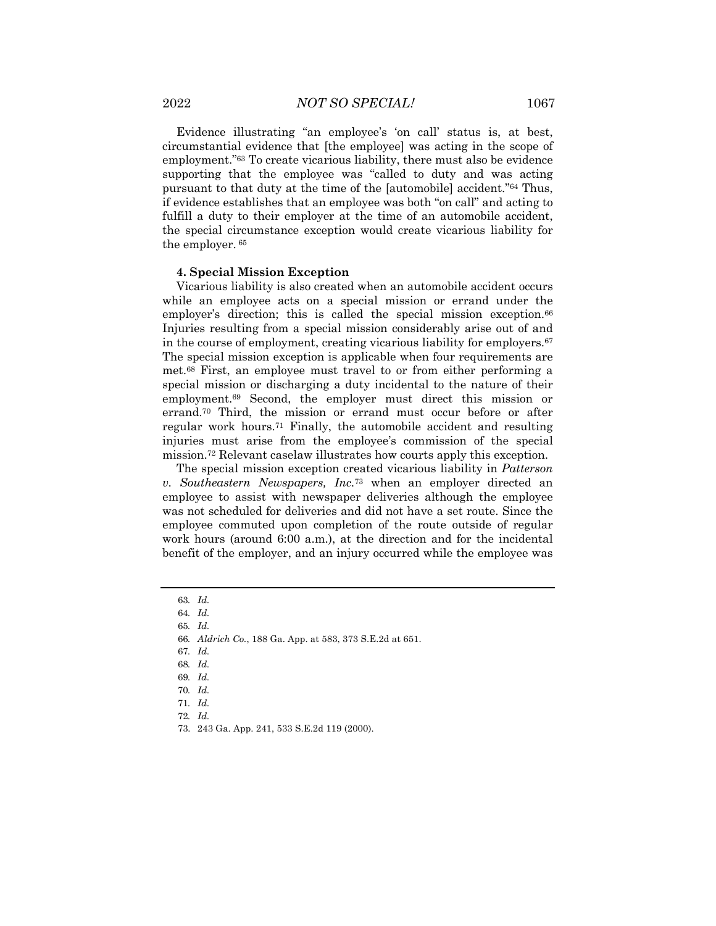Evidence illustrating "an employee's 'on call' status is, at best, circumstantial evidence that [the employee] was acting in the scope of employment."63 To create vicarious liability, there must also be evidence supporting that the employee was "called to duty and was acting pursuant to that duty at the time of the [automobile] accident."64 Thus, if evidence establishes that an employee was both "on call" and acting to fulfill a duty to their employer at the time of an automobile accident, the special circumstance exception would create vicarious liability for the employer. <sup>65</sup>

#### **4. Special Mission Exception**

Vicarious liability is also created when an automobile accident occurs while an employee acts on a special mission or errand under the employer's direction; this is called the special mission exception.<sup>66</sup> Injuries resulting from a special mission considerably arise out of and in the course of employment, creating vicarious liability for employers.67 The special mission exception is applicable when four requirements are met.68 First, an employee must travel to or from either performing a special mission or discharging a duty incidental to the nature of their employment.69 Second, the employer must direct this mission or errand.70 Third, the mission or errand must occur before or after regular work hours.71 Finally, the automobile accident and resulting injuries must arise from the employee's commission of the special mission.72 Relevant caselaw illustrates how courts apply this exception.

The special mission exception created vicarious liability in *Patterson v. Southeastern Newspapers, Inc.*<sup>73</sup> when an employer directed an employee to assist with newspaper deliveries although the employee was not scheduled for deliveries and did not have a set route. Since the employee commuted upon completion of the route outside of regular work hours (around 6:00 a.m.), at the direction and for the incidental benefit of the employer, and an injury occurred while the employee was

<sup>63</sup>*. Id.*

<sup>64</sup>*. Id.*

<sup>65</sup>*. Id.*

<sup>66</sup>*. Aldrich Co.*, 188 Ga. App. at 583, 373 S.E.2d at 651.

<sup>67</sup>*. Id.*

<sup>68</sup>*. Id.*

<sup>69</sup>*. Id.*

<sup>70</sup>*. Id.*

<sup>71</sup>*. Id.*

<sup>72</sup>*. Id.*

<sup>73.</sup> 243 Ga. App. 241, 533 S.E.2d 119 (2000).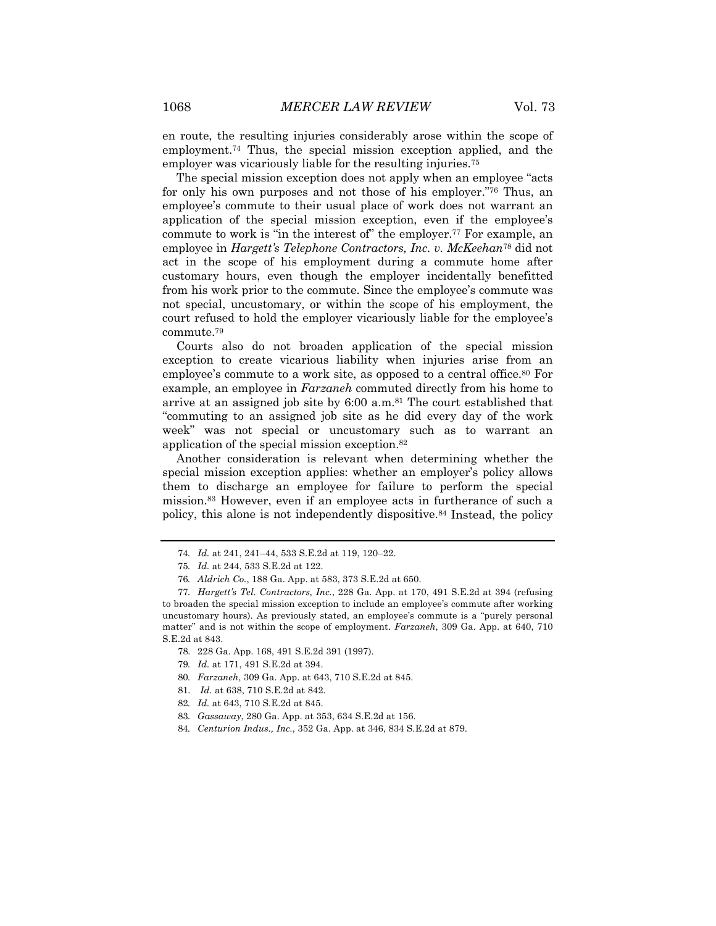en route, the resulting injuries considerably arose within the scope of employment.74 Thus, the special mission exception applied, and the employer was vicariously liable for the resulting injuries.<sup>75</sup>

The special mission exception does not apply when an employee "acts for only his own purposes and not those of his employer."76 Thus, an employee's commute to their usual place of work does not warrant an application of the special mission exception, even if the employee's commute to work is "in the interest of" the employer.<sup>77</sup> For example, an employee in *Hargett's Telephone Contractors, Inc. v. McKeehan*<sup>78</sup> did not act in the scope of his employment during a commute home after customary hours, even though the employer incidentally benefitted from his work prior to the commute. Since the employee's commute was not special, uncustomary, or within the scope of his employment, the court refused to hold the employer vicariously liable for the employee's commute.79

Courts also do not broaden application of the special mission exception to create vicarious liability when injuries arise from an employee's commute to a work site, as opposed to a central office.<sup>80</sup> For example, an employee in *Farzaneh* commuted directly from his home to arrive at an assigned job site by 6:00 a.m.81 The court established that "commuting to an assigned job site as he did every day of the work week" was not special or uncustomary such as to warrant an application of the special mission exception.82

Another consideration is relevant when determining whether the special mission exception applies: whether an employer's policy allows them to discharge an employee for failure to perform the special mission.83 However, even if an employee acts in furtherance of such a policy, this alone is not independently dispositive.84 Instead, the policy

- 81. *Id.* at 638, 710 S.E.2d at 842.
- 82*. Id.* at 643, 710 S.E.2d at 845.
- 83*. Gassaway*, 280 Ga. App. at 353, 634 S.E.2d at 156.
- 84*. Centurion Indus., Inc.*, 352 Ga. App. at 346, 834 S.E.2d at 879.

<sup>74</sup>*. Id.* at 241, 241–44, 533 S.E.2d at 119, 120–22.

<sup>75</sup>*. Id.* at 244, 533 S.E.2d at 122.

<sup>76</sup>*. Aldrich Co.*, 188 Ga. App. at 583, 373 S.E.2d at 650.

<sup>77</sup>*. Hargett's Tel. Contractors, Inc.*, 228 Ga. App. at 170, 491 S.E.2d at 394 (refusing to broaden the special mission exception to include an employee's commute after working uncustomary hours). As previously stated, an employee's commute is a "purely personal matter" and is not within the scope of employment. *Farzaneh*, 309 Ga. App. at 640, 710 S.E.2d at 843.

<sup>78.</sup> 228 Ga. App. 168, 491 S.E.2d 391 (1997).

<sup>79</sup>*. Id.* at 171, 491 S.E.2d at 394.

<sup>80</sup>*. Farzaneh*, 309 Ga. App. at 643, 710 S.E.2d at 845.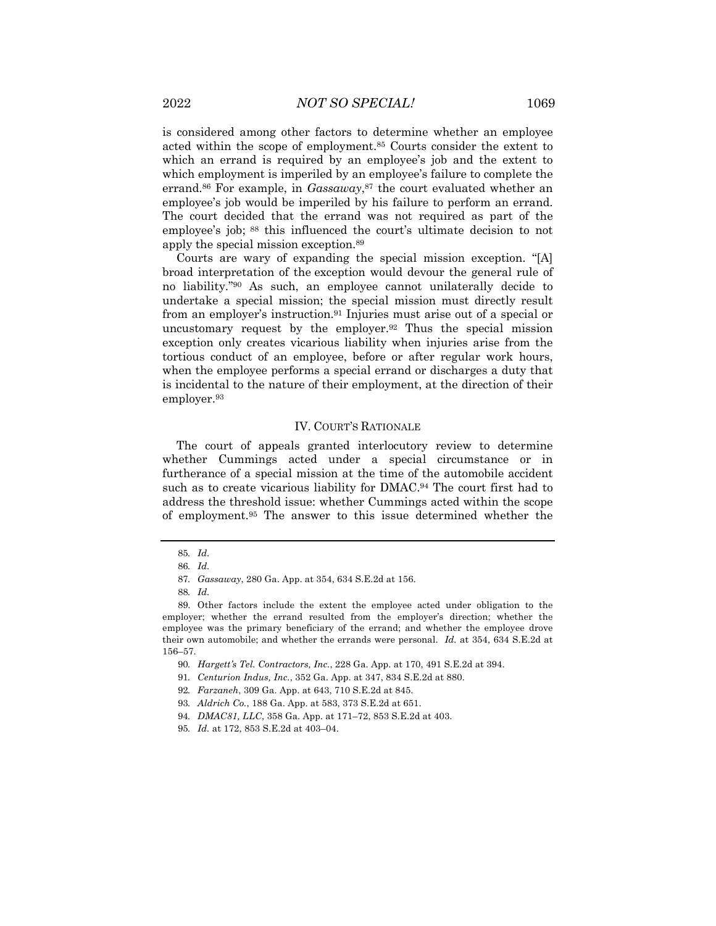is considered among other factors to determine whether an employee acted within the scope of employment.85 Courts consider the extent to which an errand is required by an employee's job and the extent to which employment is imperiled by an employee's failure to complete the errand.<sup>86</sup> For example, in *Gassaway*,<sup>87</sup> the court evaluated whether an employee's job would be imperiled by his failure to perform an errand. The court decided that the errand was not required as part of the employee's job; <sup>88</sup> this influenced the court's ultimate decision to not apply the special mission exception.89

Courts are wary of expanding the special mission exception. "[A] broad interpretation of the exception would devour the general rule of no liability."90 As such, an employee cannot unilaterally decide to undertake a special mission; the special mission must directly result from an employer's instruction.91 Injuries must arise out of a special or uncustomary request by the employer.92 Thus the special mission exception only creates vicarious liability when injuries arise from the tortious conduct of an employee, before or after regular work hours, when the employee performs a special errand or discharges a duty that is incidental to the nature of their employment, at the direction of their employer.93

#### IV. COURT'S RATIONALE

The court of appeals granted interlocutory review to determine whether Cummings acted under a special circumstance or in furtherance of a special mission at the time of the automobile accident such as to create vicarious liability for DMAC.94 The court first had to address the threshold issue: whether Cummings acted within the scope of employment.95 The answer to this issue determined whether the

<sup>85</sup>*. Id.*

<sup>86</sup>*. Id.*

<sup>87</sup>*. Gassaway*, 280 Ga. App. at 354, 634 S.E.2d at 156.

<sup>88</sup>*. Id.*

<sup>89.</sup> Other factors include the extent the employee acted under obligation to the employer; whether the errand resulted from the employer's direction; whether the employee was the primary beneficiary of the errand; and whether the employee drove their own automobile; and whether the errands were personal. *Id.* at 354, 634 S.E.2d at 156–57.

<sup>90</sup>*. Hargett's Tel. Contractors, Inc.*, 228 Ga. App. at 170, 491 S.E.2d at 394.

<sup>91</sup>*. Centurion Indus, Inc.*, 352 Ga. App. at 347, 834 S.E.2d at 880.

<sup>92</sup>*. Farzaneh*, 309 Ga. App. at 643, 710 S.E.2d at 845.

<sup>93</sup>*. Aldrich Co.*, 188 Ga. App. at 583, 373 S.E.2d at 651.

<sup>94</sup>*. DMAC81, LLC*, 358 Ga. App. at 171–72, 853 S.E.2d at 403.

<sup>95</sup>*. Id.* at 172, 853 S.E.2d at 403–04.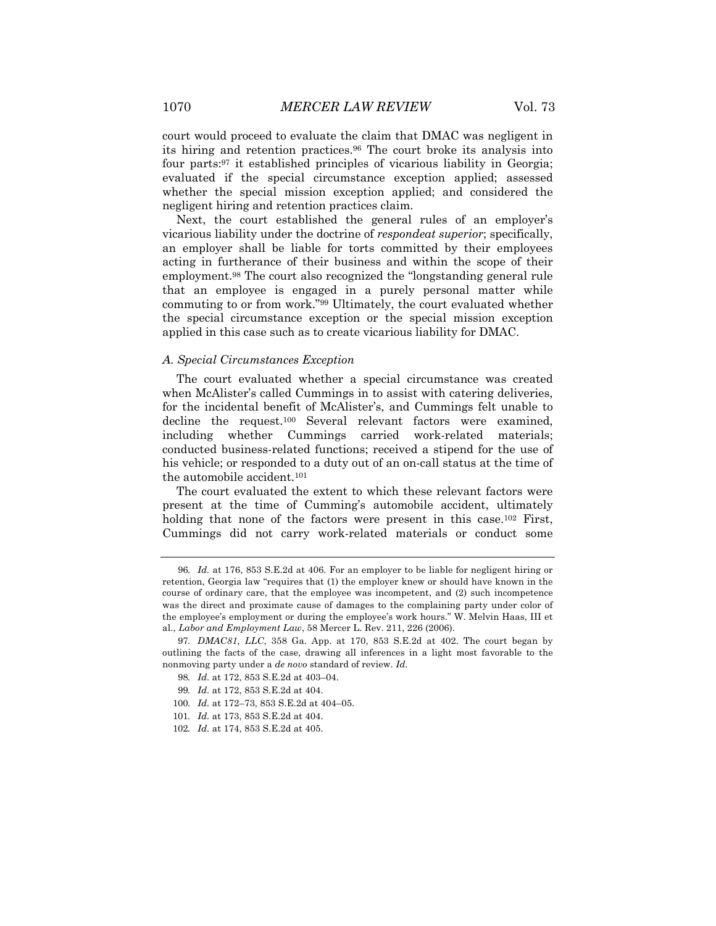court would proceed to evaluate the claim that DMAC was negligent in its hiring and retention practices.96 The court broke its analysis into four parts:97 it established principles of vicarious liability in Georgia; evaluated if the special circumstance exception applied; assessed whether the special mission exception applied; and considered the negligent hiring and retention practices claim.

Next, the court established the general rules of an employer's vicarious liability under the doctrine of *respondeat superior*; specifically, an employer shall be liable for torts committed by their employees acting in furtherance of their business and within the scope of their employment.98 The court also recognized the "longstanding general rule that an employee is engaged in a purely personal matter while commuting to or from work."99 Ultimately, the court evaluated whether the special circumstance exception or the special mission exception applied in this case such as to create vicarious liability for DMAC.

#### *A. Special Circumstances Exception*

The court evaluated whether a special circumstance was created when McAlister's called Cummings in to assist with catering deliveries, for the incidental benefit of McAlister's, and Cummings felt unable to decline the request.100 Several relevant factors were examined, including whether Cummings carried work-related materials; conducted business-related functions; received a stipend for the use of his vehicle; or responded to a duty out of an on-call status at the time of the automobile accident.101

The court evaluated the extent to which these relevant factors were present at the time of Cumming's automobile accident, ultimately holding that none of the factors were present in this case.<sup>102</sup> First, Cummings did not carry work-related materials or conduct some

<sup>96</sup>*. Id.* at 176, 853 S.E.2d at 406. For an employer to be liable for negligent hiring or retention, Georgia law "requires that (1) the employer knew or should have known in the course of ordinary care, that the employee was incompetent, and (2) such incompetence was the direct and proximate cause of damages to the complaining party under color of the employee's employment or during the employee's work hours." W. Melvin Haas, III et al., *Labor and Employment Law*, 58 Mercer L. Rev. 211, 226 (2006).

<sup>97</sup>*. DMAC81, LLC*, 358 Ga. App. at 170, 853 S.E.2d at 402. The court began by outlining the facts of the case, drawing all inferences in a light most favorable to the nonmoving party under a *de novo* standard of review. *Id.*

<sup>98</sup>*. Id.* at 172, 853 S.E.2d at 403–04.

<sup>99</sup>*. Id.* at 172, 853 S.E.2d at 404.

<sup>100</sup>*. Id.* at 172–73, 853 S.E.2d at 404–05.

<sup>101</sup>*. Id.* at 173, 853 S.E.2d at 404.

<sup>102</sup>*. Id.* at 174, 853 S.E.2d at 405.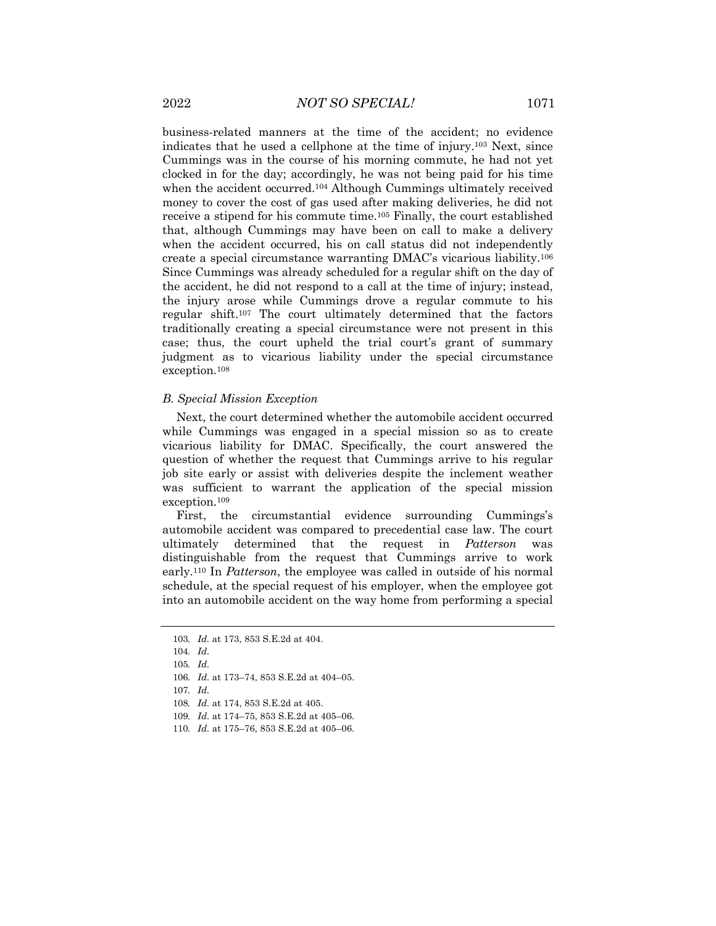business-related manners at the time of the accident; no evidence indicates that he used a cellphone at the time of injury.103 Next, since Cummings was in the course of his morning commute, he had not yet clocked in for the day; accordingly, he was not being paid for his time when the accident occurred.<sup>104</sup> Although Cummings ultimately received money to cover the cost of gas used after making deliveries, he did not receive a stipend for his commute time.105 Finally, the court established that, although Cummings may have been on call to make a delivery when the accident occurred, his on call status did not independently create a special circumstance warranting DMAC's vicarious liability.106 Since Cummings was already scheduled for a regular shift on the day of the accident, he did not respond to a call at the time of injury; instead, the injury arose while Cummings drove a regular commute to his regular shift.107 The court ultimately determined that the factors traditionally creating a special circumstance were not present in this case; thus, the court upheld the trial court's grant of summary judgment as to vicarious liability under the special circumstance exception.108

#### *B. Special Mission Exception*

Next, the court determined whether the automobile accident occurred while Cummings was engaged in a special mission so as to create vicarious liability for DMAC. Specifically, the court answered the question of whether the request that Cummings arrive to his regular job site early or assist with deliveries despite the inclement weather was sufficient to warrant the application of the special mission exception.109

First, the circumstantial evidence surrounding Cummings's automobile accident was compared to precedential case law. The court ultimately determined that the request in *Patterson* was distinguishable from the request that Cummings arrive to work early.110 In *Patterson*, the employee was called in outside of his normal schedule, at the special request of his employer, when the employee got into an automobile accident on the way home from performing a special

<sup>103</sup>*. Id.* at 173, 853 S.E.2d at 404.

<sup>104</sup>*. Id.*

<sup>105</sup>*. Id.*

<sup>106</sup>*. Id.* at 173–74, 853 S.E.2d at 404–05.

<sup>107</sup>*. Id.*

<sup>108</sup>*. Id.* at 174, 853 S.E.2d at 405.

<sup>109</sup>*. Id.* at 174–75, 853 S.E.2d at 405–06.

<sup>110</sup>*. Id.* at 175–76, 853 S.E.2d at 405–06.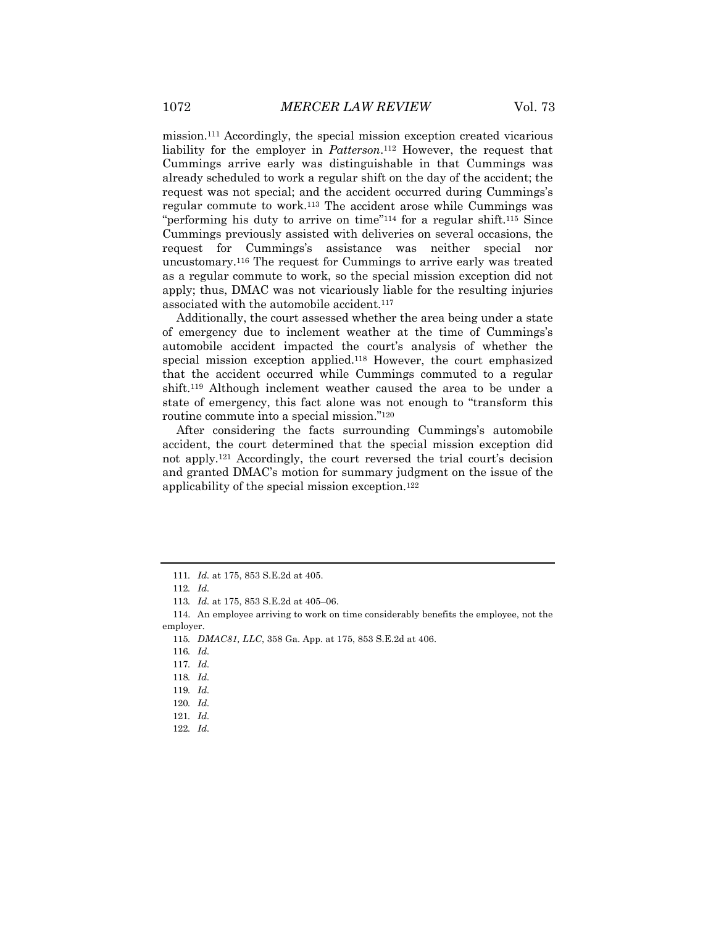mission.111 Accordingly, the special mission exception created vicarious liability for the employer in *Patterson*.112 However, the request that Cummings arrive early was distinguishable in that Cummings was already scheduled to work a regular shift on the day of the accident; the request was not special; and the accident occurred during Cummings's regular commute to work.113 The accident arose while Cummings was "performing his duty to arrive on time"114 for a regular shift.115 Since Cummings previously assisted with deliveries on several occasions, the request for Cummings's assistance was neither special nor uncustomary.116 The request for Cummings to arrive early was treated as a regular commute to work, so the special mission exception did not apply; thus, DMAC was not vicariously liable for the resulting injuries associated with the automobile accident.<sup>117</sup>

Additionally, the court assessed whether the area being under a state of emergency due to inclement weather at the time of Cummings's automobile accident impacted the court's analysis of whether the special mission exception applied.118 However, the court emphasized that the accident occurred while Cummings commuted to a regular shift.119 Although inclement weather caused the area to be under a state of emergency, this fact alone was not enough to "transform this routine commute into a special mission."120

After considering the facts surrounding Cummings's automobile accident, the court determined that the special mission exception did not apply.121 Accordingly, the court reversed the trial court's decision and granted DMAC's motion for summary judgment on the issue of the applicability of the special mission exception.122

<sup>111</sup>*. Id.* at 175, 853 S.E.2d at 405.

<sup>112</sup>*. Id.*

<sup>113</sup>*. Id.* at 175, 853 S.E.2d at 405–06.

<sup>114.</sup> An employee arriving to work on time considerably benefits the employee, not the employer.

<sup>115</sup>*. DMAC81, LLC*, 358 Ga. App. at 175, 853 S.E.2d at 406.

<sup>116</sup>*. Id.*

<sup>117</sup>*. Id.*

<sup>118</sup>*. Id.*

<sup>119</sup>*. Id.*

<sup>120</sup>*. Id.*

<sup>121</sup>*. Id.*

<sup>122</sup>*. Id.*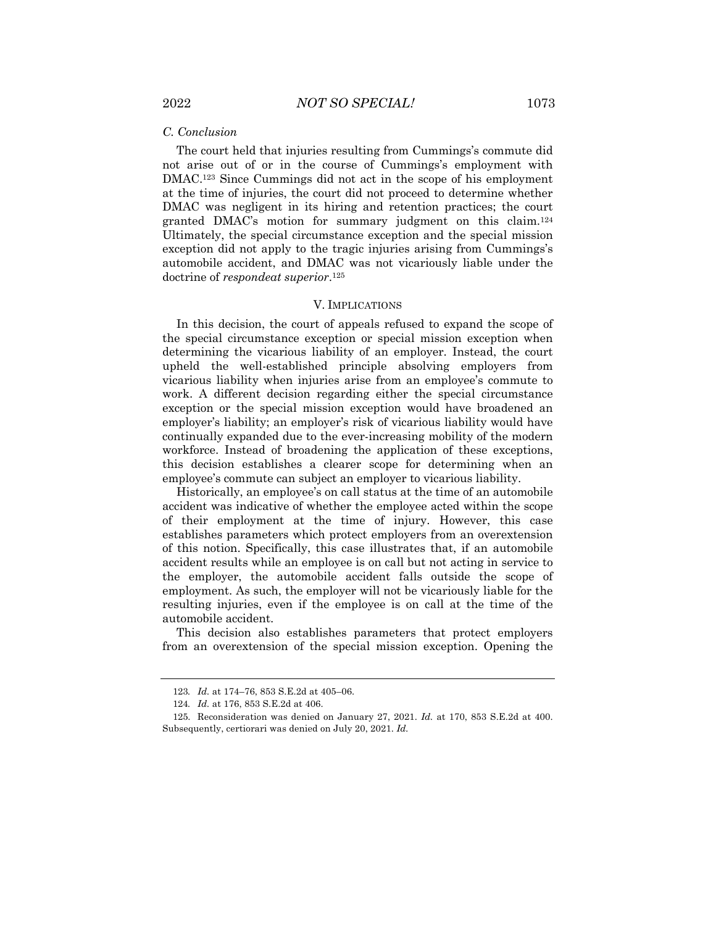## *C. Conclusion*

The court held that injuries resulting from Cummings's commute did not arise out of or in the course of Cummings's employment with DMAC.123 Since Cummings did not act in the scope of his employment at the time of injuries, the court did not proceed to determine whether DMAC was negligent in its hiring and retention practices; the court granted DMAC's motion for summary judgment on this claim.124 Ultimately, the special circumstance exception and the special mission exception did not apply to the tragic injuries arising from Cummings's automobile accident, and DMAC was not vicariously liable under the doctrine of *respondeat superior*.125

#### V. IMPLICATIONS

In this decision, the court of appeals refused to expand the scope of the special circumstance exception or special mission exception when determining the vicarious liability of an employer. Instead, the court upheld the well-established principle absolving employers from vicarious liability when injuries arise from an employee's commute to work. A different decision regarding either the special circumstance exception or the special mission exception would have broadened an employer's liability; an employer's risk of vicarious liability would have continually expanded due to the ever-increasing mobility of the modern workforce. Instead of broadening the application of these exceptions, this decision establishes a clearer scope for determining when an employee's commute can subject an employer to vicarious liability.

Historically, an employee's on call status at the time of an automobile accident was indicative of whether the employee acted within the scope of their employment at the time of injury. However, this case establishes parameters which protect employers from an overextension of this notion. Specifically, this case illustrates that, if an automobile accident results while an employee is on call but not acting in service to the employer, the automobile accident falls outside the scope of employment. As such, the employer will not be vicariously liable for the resulting injuries, even if the employee is on call at the time of the automobile accident.

This decision also establishes parameters that protect employers from an overextension of the special mission exception. Opening the

<sup>123</sup>*. Id.* at 174–76, 853 S.E.2d at 405–06.

<sup>124</sup>*. Id.* at 176, 853 S.E.2d at 406.

<sup>125.</sup> Reconsideration was denied on January 27, 2021. *Id.* at 170, 853 S.E.2d at 400. Subsequently, certiorari was denied on July 20, 2021. *Id.*